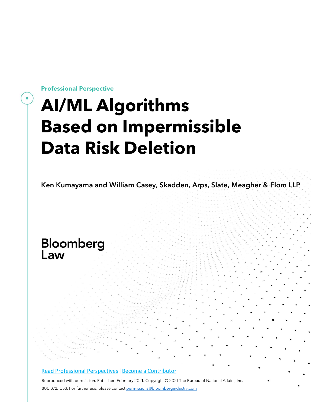**Professional Perspective**

# **AI/ML Algorithms Based on Impermissible Data Risk Deletion**

Ken Kumayama and William Casey, Skadden, Arps, Slate, Meagher & Flom LLP

# Bloomberg Law

#### Read Professional [Perspectives](https://www.bloomberglaw.com/product/blaw/search/results/fce5c55b80fd6db95984633eb48fa7d5?utm_source=ACQ&utm_medium=PRP) [|](https://www.bloomberglaw.com/product/blaw/search/results/fce5c55b80fd6db95984633eb48fa7d5?utm_source=ACQ&utm_medium=PRP) Become a [Contributor](https://pro.bloomberglaw.com/become-a-contributor/?utm_source=ACQ&utm_medium=PRP)

Reproduced with permission. Published February 2021. Copyright © 2021 The Bureau of National Affairs, Inc. 800.372.1033. For further use, please contact [permissions@bloombergindustry.com](mailto:permissions@bloombergindustry.com)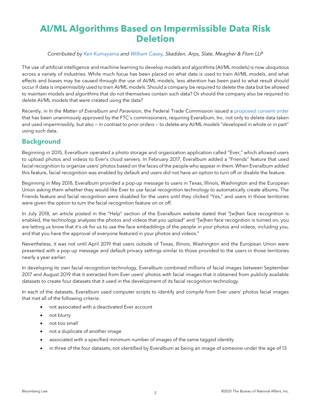# **AI/ML Algorithms Based on Impermissible Data Risk Deletion**

#### *Contributed by Ken [Kumayama](https://www.skadden.com/professionals/k/kumayama-ken-d) and [William](https://www.skadden.com/professionals/c/casey-william-j) Casey, Skadden, Arps, Slate, Meagher & Flom LLP*

The use of artificial intelligence and machine learning to develop models and algorithms (AI/ML models) is now ubiquitous across a variety of industries. While much focus has been placed on what data is used to train AI/ML models, and what effects and biases may be caused through the use of AI/ML models, less attention has been paid to what result should occur if data is impermissibly used to train AI/ML models. Should a company be required to delete the data but be allowed to maintain models and algorithms that do not themselves contain such data? Or should the company also be required to delete AI/ML models that were created using the data?

Recently, in *In the Matter of Everalbum and Paravision*, the Federal Trade Commission issued a [proposed](https://www.ftc.gov/system/files/documents/cases/everalbum_order.pdf) consent order that has been unanimously approved by the FTC's commissioners, requiring Everalbum, Inc. not only to delete data taken and used impermissibly, but also — in contrast to prior orders — to delete any AI/ML models "developed in whole or in part" using such data.

## **Background**

Beginning in 2015, Everalbum operated a photo storage and organization application called "Ever," which allowed users to upload photos and videos to Ever's cloud servers. In February 2017, Everalbum added a "Friends" feature that used facial recognition to organize users' photos based on the faces of the people who appear in them. When Everalbum added this feature, facial recognition was enabled by default and users did not have an option to turn off or disable the feature.

Beginning in May 2018, Everalbum provided a pop-up message to users in Texas, Illinois, Washington and the European Union asking them whether they would like Ever to use facial recognition technology to automatically create albums. The Friends feature and facial recognition were disabled for the users until they clicked "Yes," and users in those territories were given the option to turn the facial recognition feature on or off.

In July 2018, an article posted in the "Help" section of the Everalbum website stated that "[w]hen face recognition is enabled, the technology analyzes the photos and videos that you upload" and "[w]hen face recognition is turned on, you are letting us know that it's ok for us to use the face embeddings of the people in your photos and videos, including you, and that you have the approval of everyone featured in your photos and videos."

Nevertheless, it was not until April 2019 that users outside of Texas, Illinois, Washington and the European Union were presented with a pop-up message and default privacy settings similar to those provided to the users in those territories nearly a year earlier.

In developing its own facial recognition technology, Everalbum combined millions of facial images between September 2017 and August 2019 that it extracted from Ever users' photos with facial images that it obtained from publicly available datasets to create four datasets that it used in the development of its facial recognition technology.

In each of the datasets, Everalbum used computer scripts to identify and compile from Ever users' photos facial images that met all of the following criteria:

- not associated with a deactivated Ever account
- not blurry
- not too small
- not a duplicate of another image
- associated with a specified minimum number of images of the same tagged identity
- in three of the four datasets, not identified by Everalbum as being an image of someone under the age of 13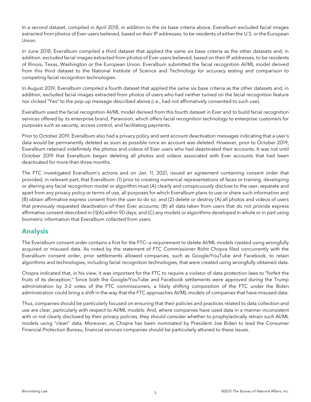In a second dataset, compiled in April 2018, in addition to the six base criteria above, Everalbum excluded facial images extracted from photos of Ever users believed, based on their IP addresses, to be residents of eitherthe U.S. or the European Union.

In June 2018, Everalbum compiled a third dataset that applied the same six base criteria as the other datasets and, in addition, excluded facial images extracted from photos of Ever users believed, based on their IP addresses, to be residents of Illinois, Texas, Washington or the European Union. Everalbum submitted the facial recognition AI/ML model derived from this third dataset to the National Institute of Science and Technology for accuracy testing and comparison to competing facial recognition technologies.

In August 2019, Everalbum compiled a fourth dataset that applied the same six base criteria as the other datasets and, in addition, excluded facial images extracted from photos of users who had neither turned on the facial recognition feature nor clicked "Yes" to the pop-up message described above (i.e., had not affirmatively consented to such use).

Everalbum used the facial recognition AI/ML model derived from this fourth dataset in Ever and to build facial recognition services offered by its enterprise brand, Paravision, which offers facial recognition technology to enterprise customers for purposes such as security, access control, and facilitating payments.

Prior to October 2019, Everalbum also had a privacy policy and sent account deactivation messages indicating that a user's data would be permanently deleted as soon as possible once an account was deleted. However, prior to October 2019, Everalbum retained indefinitely the photos and videos of Ever users who had deactivated their accounts. It was not until October 2019 that Everalbum began deleting all photos and videos associated with Ever accounts that had been deactivated for more than three months.

The FTC investigated Everalbum's actions and on Jan. 11, 2021, issued an agreement containing consent order that provided, in relevant part, that Everalbum: (1) prior to creating numerical representations of faces or training, developing or altering any facial recognition model or algorithm must (A) clearly and conspicuously disclose to the user, separate and apart from any privacy policy or terms of use, all purposes for which Everalbum plans to use or share such information and (B) obtain affirmative express consent from the user to do so; and (2) delete or destroy (A) all photos and videos of users that previously requested deactivation of their Ever accounts; (B) all data taken from users that do not provide express affirmative consent described in (1)(A) within 90 days; and (C) any models or algorithms developed in whole or in part using biometric information that Everalbum collected from users.

## **Analysis**

The Everalbum consent order contains a first for the FTC—a requirement to delete AI/ML models created using wrongfully acquired or misused data. As noted by the statement of FTC Commissioner Rohit Chopra filed concurrently with the Everalbum consent order, prior settlements allowed companies, such as Google/YouTube and Facebook, to retain algorithms and technologies, including facial recognition technologies, that were created using wrongfully obtained data.

Chopra indicated that, in his view, it was important for the FTC to require a violator of data protection laws to "forfeit the fruits of its deception." Since both the Google/YouTube and Facebook settlements were approved during the Trump administration by 3-2 votes of the FTC commissioners, a likely shifting composition of the FTC under the Biden administration could bring a shift in the way that the FTC approaches AI/ML models of companies that have misused data.

Thus, companies should be particularly focused on ensuring that their policies and practices related to data collection and use are clear, particularly with respect to AI/ML models. And, where companies have used data in a manner inconsistent with or not clearly disclosed by their privacy policies, they should consider whether to prophylactically retrain such AI/ML models using "clean" data. Moreover, as Chopra has been nominated by President Joe Biden to lead the Consumer Financial Protection Bureau, financial services companies should be particularly attuned to these issues.